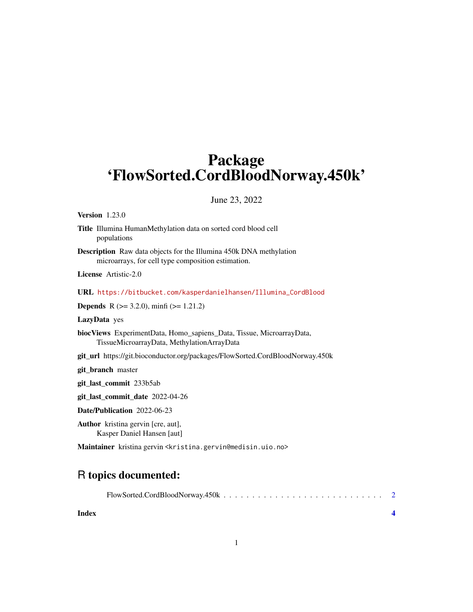# Package 'FlowSorted.CordBloodNorway.450k'

#### June 23, 2022

#### Version 1.23.0

- Title Illumina HumanMethylation data on sorted cord blood cell populations
- Description Raw data objects for the Illumina 450k DNA methylation microarrays, for cell type composition estimation.

License Artistic-2.0

```
URL https://bitbucket.com/kasperdanielhansen/Illumina_CordBlood
```
**Depends** R  $(>= 3.2.0)$ , minfi  $(>= 1.21.2)$ 

LazyData yes

biocViews ExperimentData, Homo\_sapiens\_Data, Tissue, MicroarrayData, TissueMicroarrayData, MethylationArrayData

git\_url https://git.bioconductor.org/packages/FlowSorted.CordBloodNorway.450k

git\_branch master

git\_last\_commit 233b5ab

git\_last\_commit\_date 2022-04-26

Date/Publication 2022-06-23

Author kristina gervin [cre, aut], Kasper Daniel Hansen [aut]

Maintainer kristina gervin <kristina.gervin@medisin.uio.no>

# R topics documented:

**Index** [4](#page-3-0)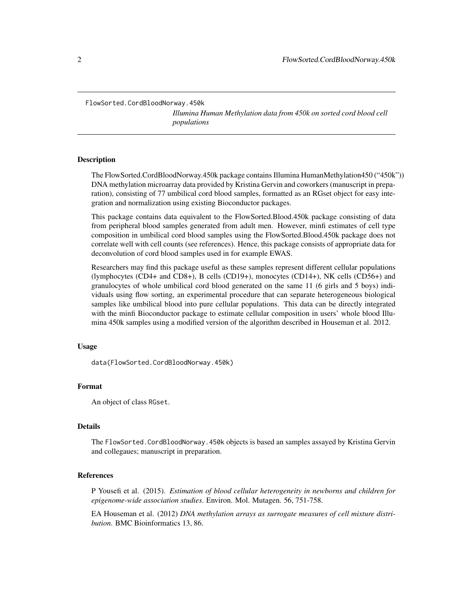<span id="page-1-0"></span>FlowSorted.CordBloodNorway.450k

*Illumina Human Methylation data from 450k on sorted cord blood cell populations*

#### Description

The FlowSorted.CordBloodNorway.450k package contains Illumina HumanMethylation450 ("450k")) DNA methylation microarray data provided by Kristina Gervin and coworkers (manuscript in preparation), consisting of 77 umbilical cord blood samples, formatted as an RGset object for easy integration and normalization using existing Bioconductor packages.

This package contains data equivalent to the FlowSorted.Blood.450k package consisting of data from peripheral blood samples generated from adult men. However, minfi estimates of cell type composition in umbilical cord blood samples using the FlowSorted.Blood.450k package does not correlate well with cell counts (see references). Hence, this package consists of appropriate data for deconvolution of cord blood samples used in for example EWAS.

Researchers may find this package useful as these samples represent different cellular populations (lymphocytes (CD4+ and CD8+), B cells (CD19+), monocytes (CD14+), NK cells (CD56+) and granulocytes of whole umbilical cord blood generated on the same 11 (6 girls and 5 boys) individuals using flow sorting, an experimental procedure that can separate heterogeneous biological samples like umbilical blood into pure cellular populations. This data can be directly integrated with the minfi Bioconductor package to estimate cellular composition in users' whole blood Illumina 450k samples using a modified version of the algorithm described in Houseman et al. 2012.

#### Usage

data(FlowSorted.CordBloodNorway.450k)

#### Format

An object of class RGset.

#### Details

The FlowSorted.CordBloodNorway.450k objects is based an samples assayed by Kristina Gervin and collegaues; manuscript in preparation.

#### References

P Yousefi et al. (2015). *Estimation of blood cellular heterogeneity in newborns and children for epigenome-wide association studies*. Environ. Mol. Mutagen. 56, 751-758.

EA Houseman et al. (2012) *DNA methylation arrays as surrogate measures of cell mixture distribution*. BMC Bioinformatics 13, 86.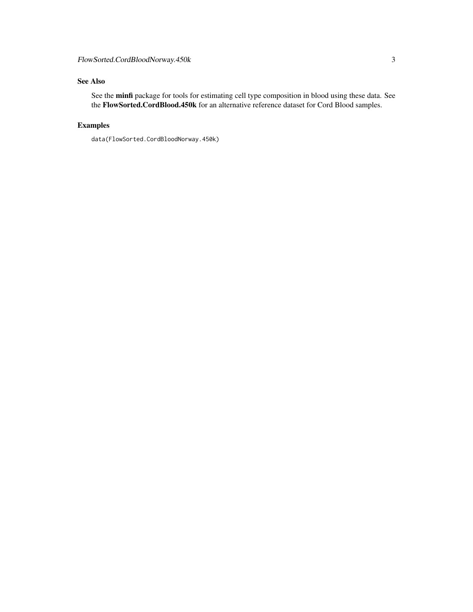## See Also

See the minfi package for tools for estimating cell type composition in blood using these data. See the FlowSorted.CordBlood.450k for an alternative reference dataset for Cord Blood samples.

## Examples

data(FlowSorted.CordBloodNorway.450k)